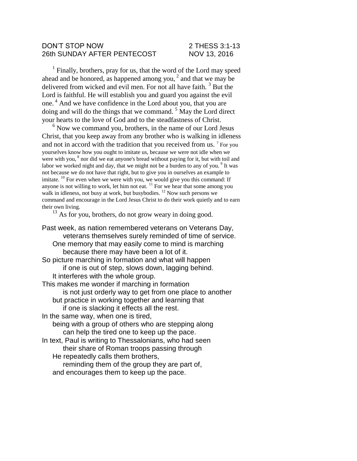#### DON'T STOP NOW 2 THESS 3:1-13 26th SUNDAY AFTER PENTECOST NOV 13, 2016

<sup>1</sup> Finally, brothers, pray for us, that the word of the Lord may speed ahead and be honored, as happened among you,  $2$  and that we may be delivered from wicked and evil men. For not all have faith. <sup>3</sup> But the Lord is faithful. He will establish you and guard you against the evil one. <sup>4</sup> And we have confidence in the Lord about you, that you are doing and will do the things that we command.  $5$  May the Lord direct your hearts to the love of God and to the steadfastness of Christ.

 $6$  Now we command you, brothers, in the name of our Lord Jesus Christ, that you keep away from any brother who is walking in idleness and not in accord with the tradition that you received from us.  $7$  For you yourselves know how you ought to imitate us, because we were not idle when we were with you,  $8$  nor did we eat anyone's bread without paying for it, but with toil and labor we worked night and day, that we might not be a burden to any of you.<sup>9</sup> It was not because we do not have that right, but to give you in ourselves an example to imitate. <sup>10</sup> For even when we were with you, we would give you this command: If anyone is not willing to work, let him not eat.  $\frac{11}{11}$  For we hear that some among you walk in idleness, not busy at work, but busybodies. <sup>12</sup> Now such persons we command and encourage in the Lord Jesus Christ to do their work quietly and to earn their own living.

 $13$  As for you, brothers, do not grow weary in doing good.

Past week, as nation remembered veterans on Veterans Day, veterans themselves surely reminded of time of service. One memory that may easily come to mind is marching because there may have been a lot of it. So picture marching in formation and what will happen if one is out of step, slows down, lagging behind. It interferes with the whole group. This makes me wonder if marching in formation is not just orderly way to get from one place to another but practice in working together and learning that if one is slacking it effects all the rest. In the same way, when one is tired, being with a group of others who are stepping along can help the tired one to keep up the pace. In text, Paul is writing to Thessalonians, who had seen their share of Roman troops passing through He repeatedly calls them brothers, reminding them of the group they are part of, and encourages them to keep up the pace.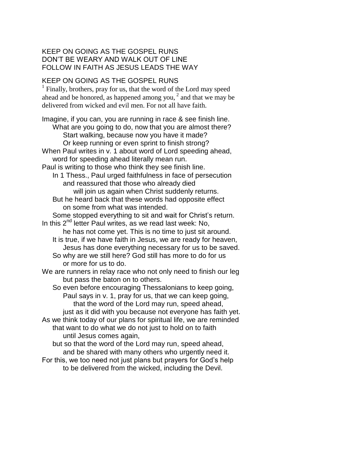## KEEP ON GOING AS THE GOSPEL RUNS DON'T BE WEARY AND WALK OUT OF LINE FOLLOW IN FAITH AS JESUS LEADS THE WAY

# KEEP ON GOING AS THE GOSPEL RUNS

<sup>1</sup> Finally, brothers, pray for us, that the word of the Lord may speed ahead and be honored, as happened among you, $<sup>2</sup>$  and that we may be</sup> delivered from wicked and evil men. For not all have faith.

Imagine, if you can, you are running in race & see finish line. What are you going to do, now that you are almost there? Start walking, because now you have it made? Or keep running or even sprint to finish strong? When Paul writes in v. 1 about word of Lord speeding ahead, word for speeding ahead literally mean run. Paul is writing to those who think they see finish line. In 1 Thess., Paul urged faithfulness in face of persecution and reassured that those who already died will join us again when Christ suddenly returns. But he heard back that these words had opposite effect on some from what was intended. Some stopped everything to sit and wait for Christ's return. In this  $2^{nd}$  letter Paul writes, as we read last week: No, he has not come yet. This is no time to just sit around. It is true, if we have faith in Jesus, we are ready for heaven, Jesus has done everything necessary for us to be saved. So why are we still here? God still has more to do for us or more for us to do. We are runners in relay race who not only need to finish our leg but pass the baton on to others. So even before encouraging Thessalonians to keep going, Paul says in v. 1, pray for us, that we can keep going, that the word of the Lord may run, speed ahead, just as it did with you because not everyone has faith yet. As we think today of our plans for spiritual life, we are reminded that want to do what we do not just to hold on to faith until Jesus comes again, but so that the word of the Lord may run, speed ahead, and be shared with many others who urgently need it. For this, we too need not just plans but prayers for God's help

to be delivered from the wicked, including the Devil.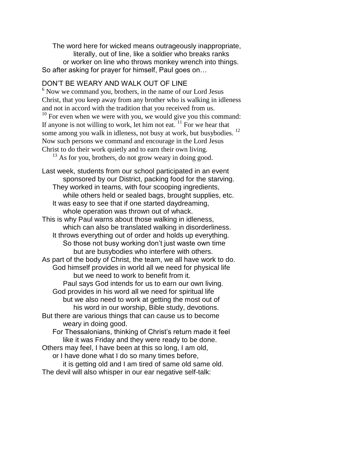The word here for wicked means outrageously inappropriate, literally, out of line, like a soldier who breaks ranks or worker on line who throws monkey wrench into things. So after asking for prayer for himself, Paul goes on…

## DON'T BE WEARY AND WALK OUT OF LINE

 $6$  Now we command you, brothers, in the name of our Lord Jesus Christ, that you keep away from any brother who is walking in idleness and not in accord with the tradition that you received from us.  $10$  For even when we were with you, we would give you this command: If anyone is not willing to work, let him not eat.  $\frac{11}{11}$  For we hear that some among you walk in idleness, not busy at work, but busybodies.<sup>12</sup> Now such persons we command and encourage in the Lord Jesus Christ to do their work quietly and to earn their own living.

 $13$  As for you, brothers, do not grow weary in doing good.

Last week, students from our school participated in an event sponsored by our District, packing food for the starving. They worked in teams, with four scooping ingredients, while others held or sealed bags, brought supplies, etc. It was easy to see that if one started daydreaming, whole operation was thrown out of whack. This is why Paul warns about those walking in idleness, which can also be translated walking in disorderliness. It throws everything out of order and holds up everything. So those not busy working don't just waste own time but are busybodies who interfere with others. As part of the body of Christ, the team, we all have work to do. God himself provides in world all we need for physical life but we need to work to benefit from it. Paul says God intends for us to earn our own living. God provides in his word all we need for spiritual life but we also need to work at getting the most out of his word in our worship, Bible study, devotions. But there are various things that can cause us to become weary in doing good. For Thessalonians, thinking of Christ's return made it feel like it was Friday and they were ready to be done. Others may feel, I have been at this so long, I am old, or I have done what I do so many times before, it is getting old and I am tired of same old same old.

The devil will also whisper in our ear negative self-talk: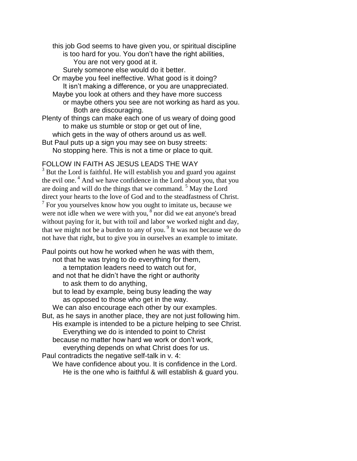this job God seems to have given you, or spiritual discipline is too hard for you. You don't have the right abilities, You are not very good at it.

Surely someone else would do it better.

- Or maybe you feel ineffective. What good is it doing? It isn't making a difference, or you are unappreciated.
- Maybe you look at others and they have more success or maybe others you see are not working as hard as you. Both are discouraging.
- Plenty of things can make each one of us weary of doing good to make us stumble or stop or get out of line,
- which gets in the way of others around us as well. But Paul puts up a sign you may see on busy streets:
- No stopping here. This is not a time or place to quit.

### FOLLOW IN FAITH AS JESUS LEADS THE WAY

 $3$  But the Lord is faithful. He will establish you and guard you against the evil one.<sup>4</sup> And we have confidence in the Lord about you, that you are doing and will do the things that we command. <sup>5</sup> May the Lord direct your hearts to the love of God and to the steadfastness of Christ.  $7$  For you yourselves know how you ought to imitate us, because we were not idle when we were with you,  $\sin^8$  nor did we eat anyone's bread without paying for it, but with toil and labor we worked night and day, that we might not be a burden to any of you.<sup>9</sup> It was not because we do not have that right, but to give you in ourselves an example to imitate.

Paul points out how he worked when he was with them, not that he was trying to do everything for them, a temptation leaders need to watch out for, and not that he didn't have the right or authority to ask them to do anything, but to lead by example, being busy leading the way as opposed to those who get in the way. We can also encourage each other by our examples. But, as he says in another place, they are not just following him. His example is intended to be a picture helping to see Christ. Everything we do is intended to point to Christ because no matter how hard we work or don't work, everything depends on what Christ does for us. Paul contradicts the negative self-talk in v. 4: We have confidence about you. It is confidence in the Lord. He is the one who is faithful & will establish & guard you.